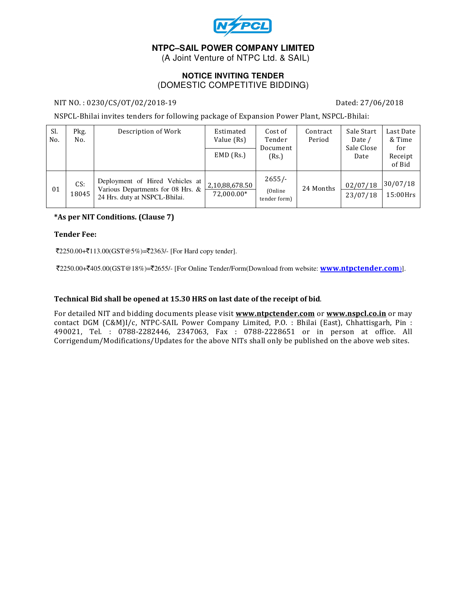

# **NTPC–SAIL POWER COMPANY LIMITED**

(A Joint Venture of NTPC Ltd. & SAIL)

## **NOTICE INVITING TENDER**  (DOMESTIC COMPETITIVE BIDDING)

### NIT NO. : 0230/CS/OT/02/2018-19 Dated: 27/06/2018

NSPCL-Bhilai invites tenders for following package of Expansion Power Plant, NSPCL-Bhilai:

| Sl.<br>No. | Pkg.<br>No.  | Description of Work                                                                                   | Estimated<br>Value (Rs)      | Cost of<br>Tender<br>Document<br>(Rs.) | Contract<br>Period | Sale Start<br>Date /<br>Sale Close<br>Date | Last Date<br>& Time<br>for<br>Receipt<br>of Bid |
|------------|--------------|-------------------------------------------------------------------------------------------------------|------------------------------|----------------------------------------|--------------------|--------------------------------------------|-------------------------------------------------|
|            |              |                                                                                                       | $EMD$ (Rs.)                  |                                        |                    |                                            |                                                 |
| 01         | CS:<br>18045 | Deployment of Hired Vehicles at<br>Various Departments for 08 Hrs. &<br>24 Hrs. duty at NSPCL-Bhilai. | 2,10,88,678.50<br>72.000.00* | $2655/-$<br>(Online)<br>tender form)   | 24 Months          | 02/07/18<br>23/07/18                       | 30/07/18<br>$15:00$ Hrs                         |

### \*As per NIT Conditions. (Clause 7)

#### Tender Fee:

 $\text{\textsterling}2250.00+\text{\textsterling}113.00(GST@5\%)$ = $\text{\textsterling}2363/-$  [For Hard copy tender].

₹2250.00+₹405.00(GST@18%)=₹2655/- [For Online Tender/Form(Download from website: www.ntpctender.com)].

### Technical Bid shall be opened at 15.30 HRS on last date of the receipt of bid.

For detailed NIT and bidding documents please visit www.ntpctender.com or www.nspcl.co.in or may contact DGM (C&M)I/c, NTPC-SAIL Power Company Limited, P.O. : Bhilai (East), Chhattisgarh, Pin : 490021, Tel. : 0788-2282446, 2347063, Fax : 0788-2228651 or in person at office. All Corrigendum/Modifications/Updates for the above NITs shall only be published on the above web sites.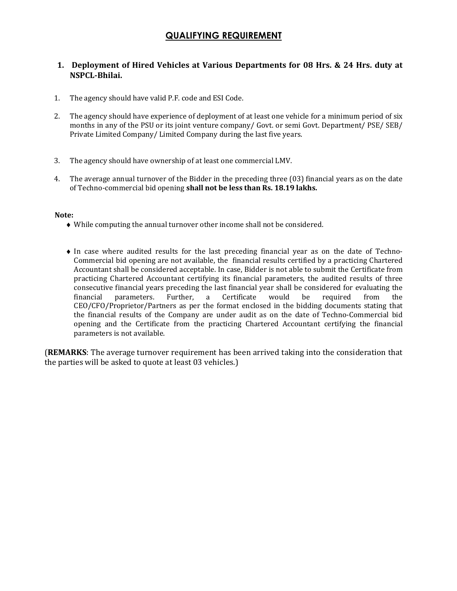# QUALIFYING REQUIREMENT

## 1. Deployment of Hired Vehicles at Various Departments for 08 Hrs. & 24 Hrs. duty at NSPCL-Bhilai.

- 1. The agency should have valid P.F. code and ESI Code.
- 2. The agency should have experience of deployment of at least one vehicle for a minimum period of six months in any of the PSU or its joint venture company/ Govt. or semi Govt. Department/ PSE/ SEB/ Private Limited Company/ Limited Company during the last five years.
- 3. The agency should have ownership of at least one commercial LMV.
- 4. The average annual turnover of the Bidder in the preceding three (03) financial years as on the date of Techno-commercial bid opening shall not be less than Rs. 18.19 lakhs.

#### Note:

- ♦ While computing the annual turnover other income shall not be considered.
- ♦ In case where audited results for the last preceding financial year as on the date of Techno-Commercial bid opening are not available, the financial results certified by a practicing Chartered Accountant shall be considered acceptable. In case, Bidder is not able to submit the Certificate from practicing Chartered Accountant certifying its financial parameters, the audited results of three consecutive financial years preceding the last financial year shall be considered for evaluating the financial parameters. Further, a Certificate would be required from the CEO/CFO/Proprietor/Partners as per the format enclosed in the bidding documents stating that the financial results of the Company are under audit as on the date of Techno-Commercial bid opening and the Certificate from the practicing Chartered Accountant certifying the financial parameters is not available.

(REMARKS: The average turnover requirement has been arrived taking into the consideration that the parties will be asked to quote at least 03 vehicles.)